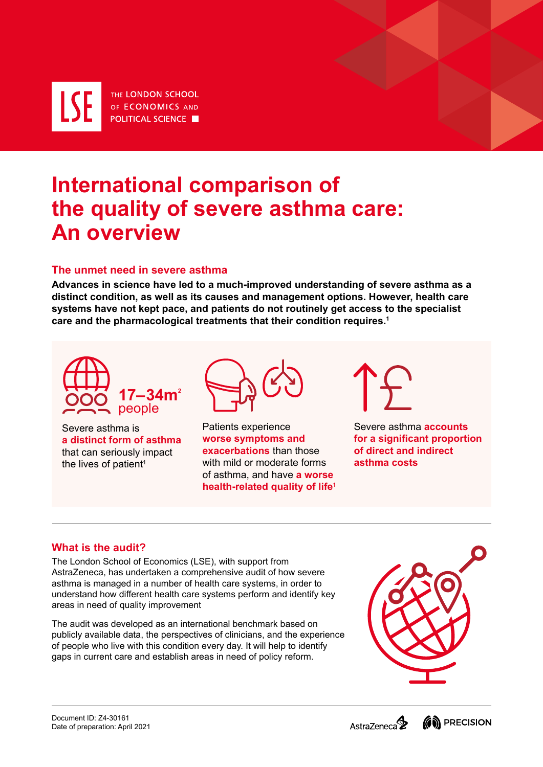THE LONDON SCHOOL **LSE** OF ECONOMICS AND **POLITICAL SCIENCE** 

# **International comparison of** the quality of severe asthma care: **An** overview

## **The unmet need in severe asthma**

Advances in science have led to a much-improved understanding of severe asthma as a distinct condition, as well as its causes and management options. However, health care systems have not kept pace, and patients do not routinely get access to the specialist care and the pharmacological treatments that their condition requires.<sup>1</sup>



Severe asthma is **a distinct form of asthma** that can seriously impact the lives of patient<sup>1</sup>



Patients experience **worse symptoms and exacerbations** than those with mild or moderate forms of asthma, and have **a worse health-related quality of life<sup>1</sup>** 



**Severe asthma accounts for a significant proportion of direct and indirect asthma** costs

### **What is the audit?**

The London School of Economics (LSE), with support from AstraZeneca, has undertaken a comprehensive audit of how severe asthma is managed in a number of health care systems, in order to understand how different health care systems perform and identify key areas in need of quality improvement

The audit was developed as an international benchmark based on publicly available data, the perspectives of clinicians, and the experience of people who live with this condition every day. It will help to identify ...aaps in current care and establish areas in need of policy reform.



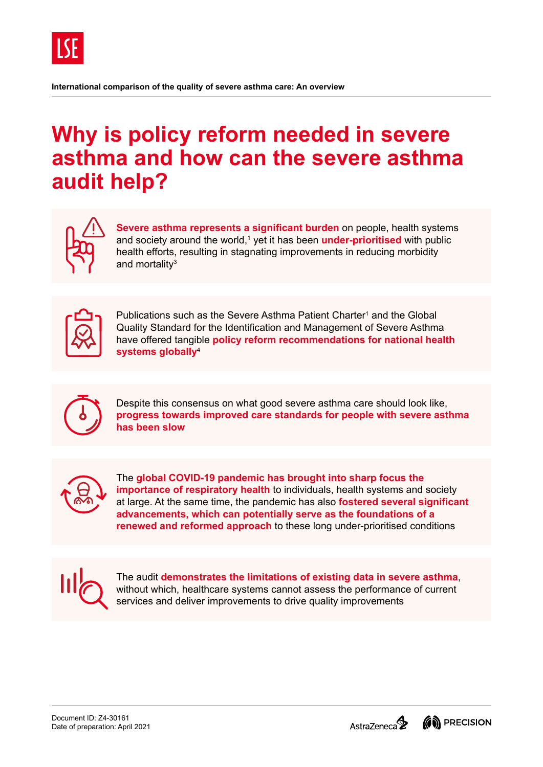

# **Why is policy reform needed in severe** asthma and how can the severe asthma **audit help?**



Severe asthma represents a significant burden on people, health systems and society around the world,<sup>1</sup> yet it has been **under-prioritised** with public health efforts, resulting in stagnating improvements in reducing morbidity and mortality $3$ 



Publications such as the Severe Asthma Patient Charter<sup>1</sup> and the Global Quality Standard for the Identification and Management of Severe Asthma have offered tangible **policy reform recommendations for national health** systems globally<sup>4</sup>



Despite this consensus on what good severe asthma care should look like, progress towards improved care standards for people with severe asthma has been slow



The global COVID-19 pandemic has brought into sharp focus the importance of respiratory health to individuals, health systems and society at large. At the same time, the pandemic has also **fostered several significant** advancements, which can potentially serve as the foundations of a **renewed and reformed approach** to these long under-prioritised conditions



The audit demonstrates the limitations of existing data in severe asthma. without which, healthcare systems cannot assess the performance of current services and deliver improvements to drive quality improvements